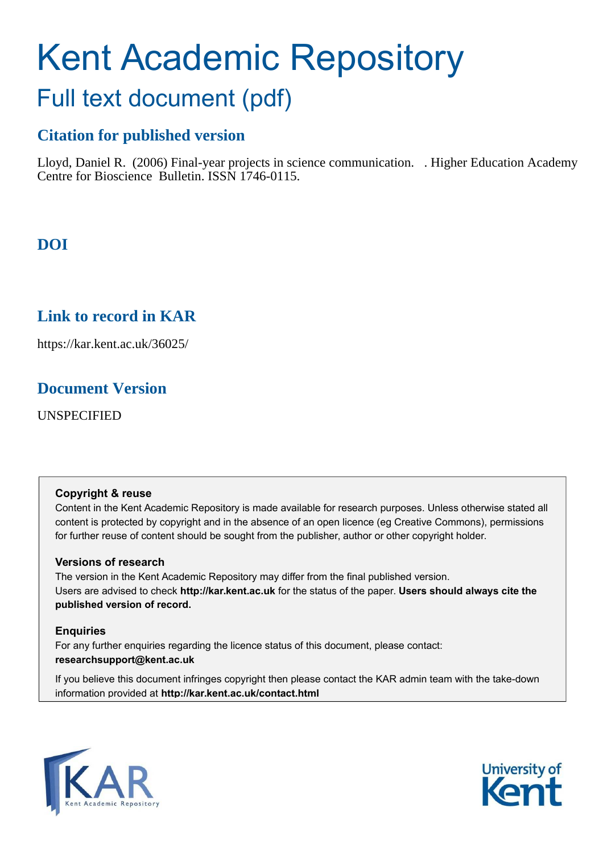# Kent Academic Repository Full text document (pdf)

### **Citation for published version**

Lloyd, Daniel R. (2006) Final-year projects in science communication. . Higher Education Academy Centre for Bioscience Bulletin. ISSN 1746-0115.

### **DOI**

### **Link to record in KAR**

https://kar.kent.ac.uk/36025/

### **Document Version**

UNSPECIFIED

### **Copyright & reuse**

Content in the Kent Academic Repository is made available for research purposes. Unless otherwise stated all content is protected by copyright and in the absence of an open licence (eg Creative Commons), permissions for further reuse of content should be sought from the publisher, author or other copyright holder.

### **Versions of research**

The version in the Kent Academic Repository may differ from the final published version. Users are advised to check **http://kar.kent.ac.uk** for the status of the paper. **Users should always cite the published version of record.**

### **Enquiries**

For any further enquiries regarding the licence status of this document, please contact: **researchsupport@kent.ac.uk**

If you believe this document infringes copyright then please contact the KAR admin team with the take-down information provided at **http://kar.kent.ac.uk/contact.html**



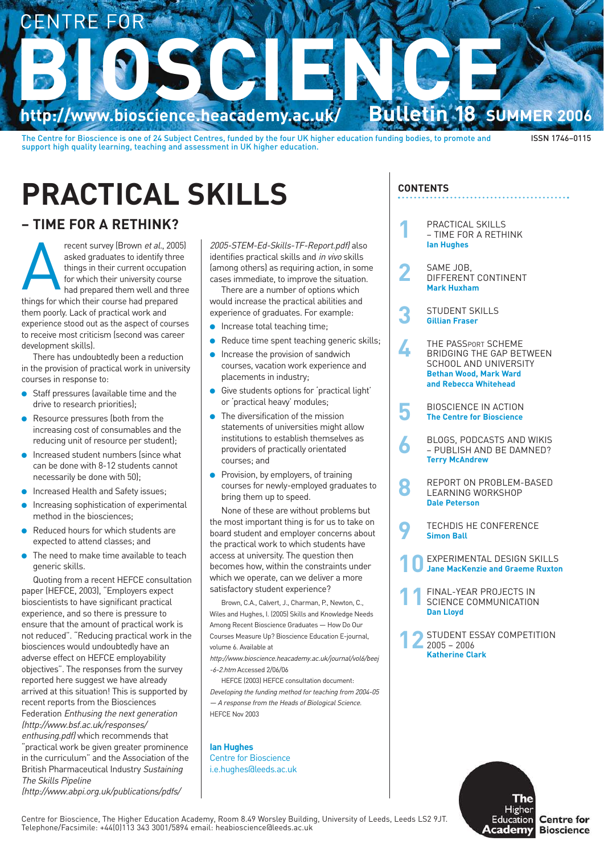

The Centre for Bioscience is one of 24 Subject Centres, funded by the four UK higher education funding bodies, to promote and support high quality learning, teaching and assessment in UK higher education.

### ISSN 1746–0115

## **PRACTICAL SKILLS**

### **– TIME FOR A RETHINK?**

Frecent survey (Brown *et al.*, 200<br>asked graduates to identify three<br>things in their current occupation<br>for which their university cours<br>had prepared them well and th<br>things for which their course had prepared recent survey (Brown et al., 2005) asked graduates to identify three things in their current occupation for which their university course had prepared them well and three

them poorly. Lack of practical work and experience stood out as the aspect of courses to receive most criticism (second was career development skills).

There has undoubtedly been a reduction in the provision of practical work in university courses in response to:

- Staff pressures (available time and the drive to research priorities);
- Resource pressures (both from the increasing cost of consumables and the reducing unit of resource per student);
- Increased student numbers (since what can be done with 8-12 students cannot necessarily be done with 50);
- Increased Health and Safety issues;
- Increasing sophistication of experimental method in the biosciences;
- Reduced hours for which students are expected to attend classes; and
- The need to make time available to teach generic skills.

Quoting from a recent HEFCE consultation paper (HEFCE, 2003), "Employers expect bioscientists to have significant practical experience, and so there is pressure to ensure that the amount of practical work is not reduced". "Reducing practical work in the biosciences would undoubtedly have an adverse effect on HEFCE employability objectives". The responses from the survey reported here suggest we have already arrived at this situation! This is supported by recent reports from the Biosciences Federation Enthusing the next generation (http://www.bsf.ac.uk/responses/ enthusing.pdf) which recommends that

"practical work be given greater prominence in the curriculum" and the Association of the British Pharmaceutical Industry Sustaining The Skills Pipeline (http://www.abpi.org.uk/publications/pdfs/

2005-STEM-Ed-Skills-TF-Report.pdf) also identifies practical skills and in vivo skills (among others) as requiring action, in some cases immediate, to improve the situation.

There are a number of options which would increase the practical abilities and experience of graduates. For example:

- Increase total teaching time;
- Reduce time spent teaching generic skills:
- Increase the provision of sandwich courses, vacation work experience and placements in industry;
- Give students options for 'practical light' or 'practical heavy' modules;
- The diversification of the mission statements of universities might allow institutions to establish themselves as providers of practically orientated courses; and
- Provision, by employers, of training courses for newly-employed graduates to bring them up to speed.

None of these are without problems but the most important thing is for us to take on board student and employer concerns about the practical work to which students have access at university. The question then becomes how, within the constraints under which we operate, can we deliver a more satisfactory student experience?

Brown, C.A., Calvert, J., Charman, P., Newton, C., Wiles and Hughes, I. (2005) Skills and Knowledge Needs Among Recent Bioscience Graduates — How Do Our Courses Measure Up? Bioscience Education E-journal, volume 6. Available at

http://www.bioscience.heacademy.ac.uk/journal/vol6/beej -6-2.htm Accessed 2/06/06

HEFCE (2003) HEFCE consultation document: Developing the funding method for teaching from 2004-05 — A response from the Heads of Biological Science. HEFCE Nov 2003

**Ian Hughes** Centre for Bioscience i.e.hughes@leeds.ac.uk

### **CONTENTS**

- **1** PRACTICAL SKILLS – TIME FOR A RETHINK **Ian Hughes**
- **2** SAME JOB, DIFFERENT CONTINENT **Mark Huxham**
- **3** STUDENT SKILLS **Gillian Fraser**
- **4** THE PASSPORT SCHEME BRIDGING THE GAP BETWEEN SCHOOL AND UNIVERSITY **Bethan Wood, Mark Ward and Rebecca Whitehead**
- **5** BIOSCIENCE IN ACTION **The Centre for Bioscience**
- **6** BLOGS, PODCASTS AND WIKIS – PUBLISH AND BE DAMNED? **Terry McAndrew**
- **8** REPORT ON PROBLEM-BASED LEARNING WORKSHOP **Dale Peterson**
- **9** TECHDIS HE CONFERENCE **Simon Ball**
- **EXPERIMENTAL DESIGN SKILLS Jane MacKenzie and Graeme Ruxton**
- 11 FINAL-YEAR PROJECTS IN
SCIENCE COMMUNICATION **Dan Lloyd**
- **12** STUDENT ESSAY COMPETITION 2005 – 2006 **Katherine Clark**



Centre for Bioscience, The Higher Education Academy, Room 8.49 Worsley Building, University of Leeds, Leeds LS2 9JT. Telephone/Facsimile: +44(0)113 343 3001/5894 email: heabioscience@leeds.ac.uk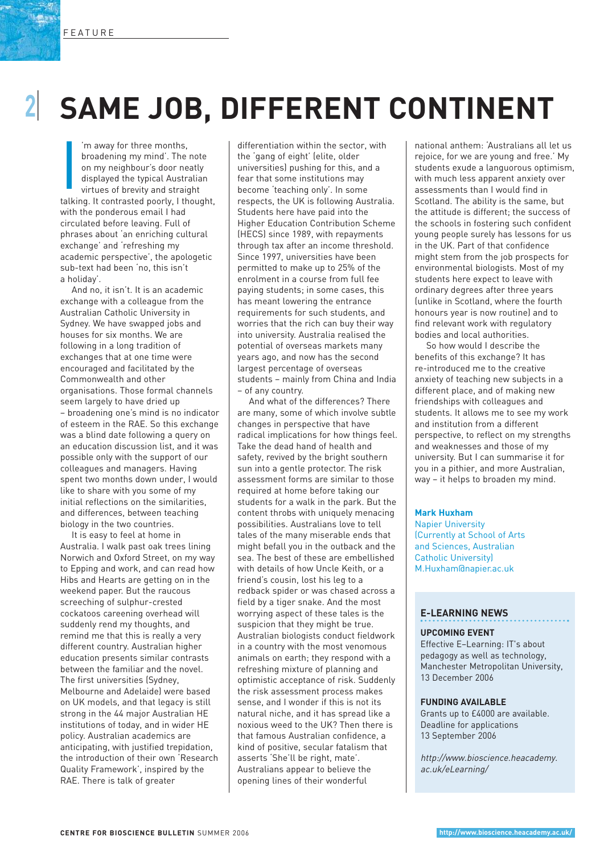# **2**I **SAME JOB, DIFFERENT CONTINENT**

Im away for three months,<br>
broadening my mind'. The note<br>
on my neighbour's door neatly<br>
displayed the typical Australian<br>
virtues of brevity and straight<br>
talking. It contrasted poorly, I thought, 'm away for three months, broadening my mind'. The note on my neighbour's door neatly displayed the typical Australian virtues of brevity and straight with the ponderous email I had circulated before leaving. Full of phrases about 'an enriching cultural exchange' and 'refreshing my academic perspective', the apologetic sub-text had been 'no, this isn't a holiday'.

And no, it isn't. It is an academic exchange with a colleague from the Australian Catholic University in Sydney. We have swapped jobs and houses for six months. We are following in a long tradition of exchanges that at one time were encouraged and facilitated by the Commonwealth and other organisations. Those formal channels seem largely to have dried up – broadening one's mind is no indicator of esteem in the RAE. So this exchange was a blind date following a query on an education discussion list, and it was possible only with the support of our colleagues and managers. Having spent two months down under, I would like to share with you some of my initial reflections on the similarities, and differences, between teaching biology in the two countries.

It is easy to feel at home in Australia. I walk past oak trees lining Norwich and Oxford Street, on my way to Epping and work, and can read how Hibs and Hearts are getting on in the weekend paper. But the raucous screeching of sulphur-crested cockatoos careening overhead will suddenly rend my thoughts, and remind me that this is really a very different country. Australian higher education presents similar contrasts between the familiar and the novel. The first universities (Sydney, Melbourne and Adelaide) were based on UK models, and that legacy is still strong in the 44 major Australian HE institutions of today, and in wider HE policy. Australian academics are anticipating, with justified trepidation, the introduction of their own 'Research Quality Framework', inspired by the RAE. There is talk of greater

differentiation within the sector, with the 'gang of eight' (elite, older universities) pushing for this, and a fear that some institutions may become 'teaching only'. In some respects, the UK is following Australia. Students here have paid into the Higher Education Contribution Scheme (HECS) since 1989, with repayments through tax after an income threshold. Since 1997, universities have been permitted to make up to 25% of the enrolment in a course from full fee paying students; in some cases, this has meant lowering the entrance requirements for such students, and worries that the rich can buy their way into university. Australia realised the potential of overseas markets many years ago, and now has the second largest percentage of overseas students – mainly from China and India – of any country.

And what of the differences? There are many, some of which involve subtle changes in perspective that have radical implications for how things feel. Take the dead hand of health and safety, revived by the bright southern sun into a gentle protector. The risk assessment forms are similar to those required at home before taking our students for a walk in the park. But the content throbs with uniquely menacing possibilities. Australians love to tell tales of the many miserable ends that might befall you in the outback and the sea. The best of these are embellished with details of how Uncle Keith, or a friend's cousin, lost his leg to a redback spider or was chased across a field by a tiger snake. And the most worrying aspect of these tales is the suspicion that they might be true. Australian biologists conduct fieldwork in a country with the most venomous animals on earth; they respond with a refreshing mixture of planning and optimistic acceptance of risk. Suddenly the risk assessment process makes sense, and I wonder if this is not its natural niche, and it has spread like a noxious weed to the UK? Then there is that famous Australian confidence, a kind of positive, secular fatalism that asserts 'She'll be right, mate'. Australians appear to believe the opening lines of their wonderful

national anthem: 'Australians all let us rejoice, for we are young and free.' My students exude a languorous optimism, with much less apparent anxiety over assessments than I would find in Scotland. The ability is the same, but the attitude is different; the success of the schools in fostering such confident young people surely has lessons for us in the UK. Part of that confidence might stem from the job prospects for environmental biologists. Most of my students here expect to leave with ordinary degrees after three years (unlike in Scotland, where the fourth honours year is now routine) and to find relevant work with regulatory bodies and local authorities.

So how would I describe the benefits of this exchange? It has re-introduced me to the creative anxiety of teaching new subjects in a different place, and of making new friendships with colleagues and students. It allows me to see my work and institution from a different perspective, to reflect on my strengths and weaknesses and those of my university. But I can summarise it for you in a pithier, and more Australian, way – it helps to broaden my mind.

#### **Mark Huxham**

Napier University (Currently at School of Arts and Sciences, Australian Catholic University) M.Huxham@napier.ac.uk

### **E-LEARNING NEWS**

#### **UPCOMING EVENT**

Effective E–Learning: IT's about pedagogy as well as technology, Manchester Metropolitan University, 13 December 2006

#### **FUNDING AVAILABLE**

Grants up to £4000 are available. Deadline for applications 13 September 2006

http://www.bioscience.heacademy. ac.uk/eLearning/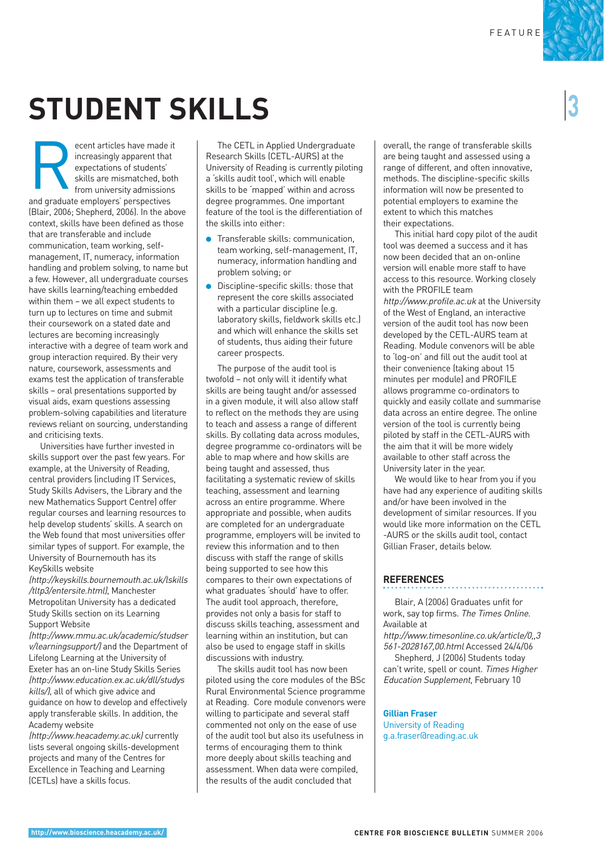# **STUDENT SKILLS**

ecent articles have made<br>
increasingly apparent that<br>
expectations of students'<br>
skills are mismatched, bo<br>
from university admission<br>
and graduate employers' perspectives ecent articles have made it increasingly apparent that expectations of students' skills are mismatched, both from university admissions (Blair, 2006; Shepherd, 2006). In the above context, skills have been defined as those that are transferable and include communication, team working, selfmanagement, IT, numeracy, information handling and problem solving, to name but a few. However, all undergraduate courses have skills learning/teaching embedded within them – we all expect students to turn up to lectures on time and submit their coursework on a stated date and lectures are becoming increasingly interactive with a degree of team work and group interaction required. By their very nature, coursework, assessments and exams test the application of transferable skills – oral presentations supported by visual aids, exam questions assessing problem-solving capabilities and literature reviews reliant on sourcing, understanding and criticising texts.

Universities have further invested in skills support over the past few years. For example, at the University of Reading, central providers (including IT Services, Study Skills Advisers, the Library and the new Mathematics Support Centre) offer regular courses and learning resources to help develop students' skills. A search on the Web found that most universities offer similar types of support. For example, the University of Bournemouth has its KeySkills website

(http://keyskills.bournemouth.ac.uk/lskills /tltp3/entersite.html), Manchester Metropolitan University has a dedicated Study Skills section on its Learning Support Website

(http://www.mmu.ac.uk/academic/studser v/learningsupport/) and the Department of Lifelong Learning at the University of Exeter has an on-line Study Skills Series (http://www.education.ex.ac.uk/dll/studys kills/), all of which give advice and guidance on how to develop and effectively apply transferable skills. In addition, the Academy website

(http://www.heacademy.ac.uk) currently lists several ongoing skills-development projects and many of the Centres for Excellence in Teaching and Learning (CETLs) have a skills focus.

The CETL in Applied Undergraduate Research Skills (CETL-AURS) at the University of Reading is currently piloting a 'skills audit tool', which will enable skills to be 'mapped' within and across degree programmes. One important feature of the tool is the differentiation of the skills into either:

- Transferable skills: communication, team working, self-management, IT, numeracy, information handling and problem solving; or
- Discipline-specific skills: those that represent the core skills associated with a particular discipline (e.g. laboratory skills, fieldwork skills etc.) and which will enhance the skills set of students, thus aiding their future career prospects.

The purpose of the audit tool is twofold – not only will it identify what skills are being taught and/or assessed in a given module, it will also allow staff to reflect on the methods they are using to teach and assess a range of different skills. By collating data across modules, degree programme co-ordinators will be able to map where and how skills are being taught and assessed, thus facilitating a systematic review of skills teaching, assessment and learning across an entire programme. Where appropriate and possible, when audits are completed for an undergraduate programme, employers will be invited to review this information and to then discuss with staff the range of skills being supported to see how this compares to their own expectations of what graduates 'should' have to offer. The audit tool approach, therefore, provides not only a basis for staff to discuss skills teaching, assessment and learning within an institution, but can also be used to engage staff in skills discussions with industry.

The skills audit tool has now been piloted using the core modules of the BSc Rural Environmental Science programme at Reading. Core module convenors were willing to participate and several staff commented not only on the ease of use of the audit tool but also its usefulness in terms of encouraging them to think more deeply about skills teaching and assessment. When data were compiled, the results of the audit concluded that

overall, the range of transferable skills are being taught and assessed using a range of different, and often innovative, methods. The discipline-specific skills information will now be presented to potential employers to examine the extent to which this matches their expectations.

This initial hard copy pilot of the audit tool was deemed a success and it has now been decided that an on-online version will enable more staff to have access to this resource. Working closely with the PROFILE team http://www.profile.ac.uk at the University of the West of England, an interactive version of the audit tool has now been developed by the CETL-AURS team at Reading. Module convenors will be able to 'log-on' and fill out the audit tool at their convenience (taking about 15 minutes per module) and PROFILE allows programme co-ordinators to quickly and easily collate and summarise data across an entire degree. The online version of the tool is currently being piloted by staff in the CETL-AURS with the aim that it will be more widely available to other staff across the

University later in the year. We would like to hear from you if you have had any experience of auditing skills and/or have been involved in the development of similar resources. If you would like more information on the CETL -AURS or the skills audit tool, contact Gillian Fraser, details below.

### **REFERENCES**

Blair, A (2006) Graduates unfit for work, say top firms. The Times Online. Available at

http://www.timesonline.co.uk/article/0,,3 561-2028167,00.html Accessed 24/4/06

Shepherd, J (2006) Students today can't write, spell or count. Times Higher Education Supplement, February 10

**Gillian Fraser** University of Reading g.a.fraser@reading.ac.uk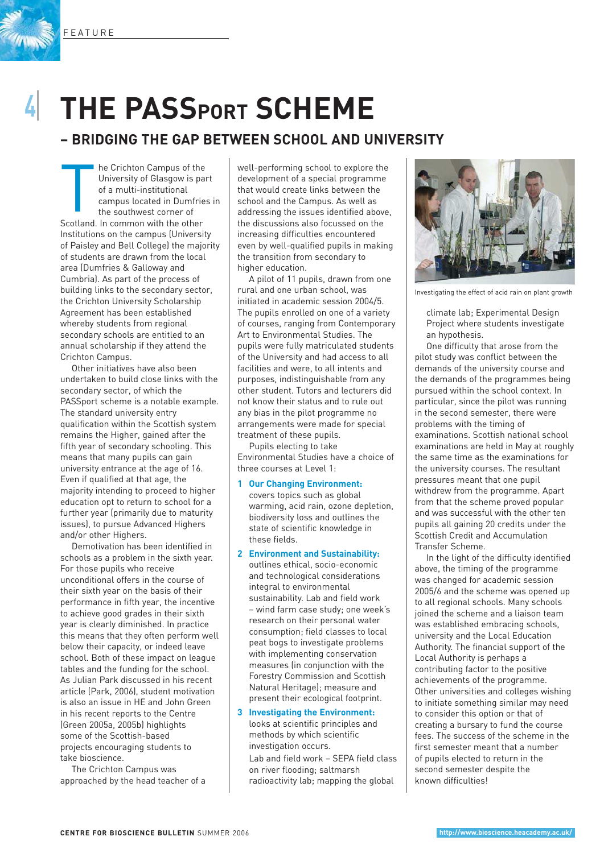FEATURE



**4**I

# **THE PASSPORT SCHEME**

### **– BRIDGING THE GAP BETWEEN SCHOOL AND UNIVERSITY**

The Crichton Campus of the University of Glasgow is particular<br>of a multi-institutional<br>campus located in Dumfric<br>the southwest corner of<br>Scotland. In common with the other he Crichton Campus of the University of Glasgow is part of a multi-institutional campus located in Dumfries in the southwest corner of Institutions on the campus (University of Paisley and Bell College) the majority of students are drawn from the local area (Dumfries & Galloway and Cumbria). As part of the process of building links to the secondary sector, the Crichton University Scholarship Agreement has been established whereby students from regional secondary schools are entitled to an annual scholarship if they attend the Crichton Campus.

Other initiatives have also been undertaken to build close links with the secondary sector, of which the PASSport scheme is a notable example. The standard university entry qualification within the Scottish system remains the Higher, gained after the fifth year of secondary schooling. This means that many pupils can gain university entrance at the age of 16. Even if qualified at that age, the majority intending to proceed to higher education opt to return to school for a further year (primarily due to maturity issues), to pursue Advanced Highers and/or other Highers.

Demotivation has been identified in schools as a problem in the sixth year. For those pupils who receive unconditional offers in the course of their sixth year on the basis of their performance in fifth year, the incentive to achieve good grades in their sixth year is clearly diminished. In practice this means that they often perform well below their capacity, or indeed leave school. Both of these impact on league tables and the funding for the school. As Julian Park discussed in his recent article (Park, 2006), student motivation is also an issue in HE and John Green in his recent reports to the Centre (Green 2005a, 2005b) highlights some of the Scottish-based projects encouraging students to take bioscience.

The Crichton Campus was approached by the head teacher of a well-performing school to explore the development of a special programme that would create links between the school and the Campus. As well as addressing the issues identified above, the discussions also focussed on the increasing difficulties encountered even by well-qualified pupils in making the transition from secondary to higher education.

A pilot of 11 pupils, drawn from one rural and one urban school, was initiated in academic session 2004/5. The pupils enrolled on one of a variety of courses, ranging from Contemporary Art to Environmental Studies. The pupils were fully matriculated students of the University and had access to all facilities and were, to all intents and purposes, indistinguishable from any other student. Tutors and lecturers did not know their status and to rule out any bias in the pilot programme no arrangements were made for special treatment of these pupils.

Pupils electing to take Environmental Studies have a choice of three courses at Level 1:

### **1 Our Changing Environment:**

covers topics such as global warming, acid rain, ozone depletion, biodiversity loss and outlines the state of scientific knowledge in these fields.

**2 Environment and Sustainability:** outlines ethical, socio-economic and technological considerations integral to environmental sustainability. Lab and field work – wind farm case study; one week's research on their personal water consumption; field classes to local peat bogs to investigate problems with implementing conservation measures (in conjunction with the Forestry Commission and Scottish Natural Heritage); measure and present their ecological footprint.

**3 Investigating the Environment:** looks at scientific principles and methods by which scientific investigation occurs.

Lab and field work – SEPA field class on river flooding; saltmarsh radioactivity lab; mapping the global



Investigating the effect of acid rain on plant growth

climate lab; Experimental Design Project where students investigate an hypothesis.

One difficulty that arose from the pilot study was conflict between the demands of the university course and the demands of the programmes being pursued within the school context. In particular, since the pilot was running in the second semester, there were problems with the timing of examinations. Scottish national school examinations are held in May at roughly the same time as the examinations for the university courses. The resultant pressures meant that one pupil withdrew from the programme. Apart from that the scheme proved popular and was successful with the other ten pupils all gaining 20 credits under the Scottish Credit and Accumulation Transfer Scheme.

In the light of the difficulty identified above, the timing of the programme was changed for academic session 2005/6 and the scheme was opened up to all regional schools. Many schools joined the scheme and a liaison team was established embracing schools, university and the Local Education Authority. The financial support of the Local Authority is perhaps a contributing factor to the positive achievements of the programme. Other universities and colleges wishing to initiate something similar may need to consider this option or that of creating a bursary to fund the course fees. The success of the scheme in the first semester meant that a number of pupils elected to return in the second semester despite the known difficulties!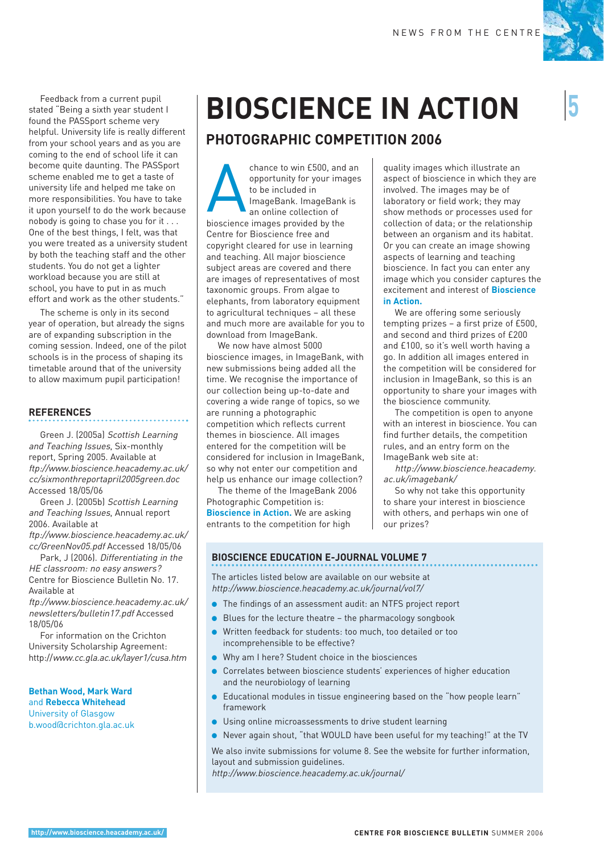

Feedback from a current pupil stated "Being a sixth year student I found the PASSport scheme very helpful. University life is really different from your school years and as you are coming to the end of school life it can become quite daunting. The PASSport scheme enabled me to get a taste of university life and helped me take on more responsibilities. You have to take it upon yourself to do the work because nobody is going to chase you for it . . . One of the best things, I felt, was that you were treated as a university student by both the teaching staff and the other students. You do not get a lighter workload because you are still at school, you have to put in as much effort and work as the other students."

The scheme is only in its second year of operation, but already the signs are of expanding subscription in the coming session. Indeed, one of the pilot schools is in the process of shaping its timetable around that of the university to allow maximum pupil participation!

### **REFERENCES**

Green J. (2005a) Scottish Learning and Teaching Issues, Six-monthly report, Spring 2005. Available at ftp://www.bioscience.heacademy.ac.uk/ cc/sixmonthreportapril2005green.doc Accessed 18/05/06

Green J. (2005b) Scottish Learning and Teaching Issues, Annual report 2006. Available at

ftp://www.bioscience.heacademy.ac.uk/ cc/GreenNov05.pdf Accessed 18/05/06

Park, J (2006). Differentiating in the HE classroom: no easy answers? Centre for Bioscience Bulletin No. 17. Available at

ftp://www.bioscience.heacademy.ac.uk/ newsletters/bulletin17.pdf Accessed 18/05/06

For information on the Crichton University Scholarship Agreement: http://www.cc.gla.ac.uk/layer1/cusa.htm

**Bethan Wood, Mark Ward**  and **Rebecca Whitehead**  University of Glasgow b.wood@crichton.gla.ac.uk

# **BIOSCIENCE IN ACTION**

### **PHOTOGRAPHIC COMPETITION 2006**

Chance to win £500, and<br>opportunity for your image<br>to be included in<br>an online collection of<br>bioscience images provided by the chance to win £500, and an opportunity for your images to be included in ImageBank. ImageBank is an online collection of Centre for Bioscience free and copyright cleared for use in learning and teaching. All major bioscience subject areas are covered and there are images of representatives of most taxonomic groups. From algae to elephants, from laboratory equipment to agricultural techniques – all these and much more are available for you to download from ImageBank.

We now have almost 5000 bioscience images, in ImageBank, with new submissions being added all the time. We recognise the importance of our collection being up-to-date and covering a wide range of topics, so we are running a photographic competition which reflects current themes in bioscience. All images entered for the competition will be considered for inclusion in ImageBank, so why not enter our competition and help us enhance our image collection?

The theme of the ImageBank 2006 Photographic Competition is: **Bioscience in Action.** We are asking entrants to the competition for high

quality images which illustrate an aspect of bioscience in which they are involved. The images may be of laboratory or field work; they may show methods or processes used for collection of data; or the relationship between an organism and its habitat. Or you can create an image showing aspects of learning and teaching bioscience. In fact you can enter any image which you consider captures the excitement and interest of **Bioscience in Action.**

We are offering some seriously tempting prizes – a first prize of £500, and second and third prizes of £200 and £100, so it's well worth having a go. In addition all images entered in the competition will be considered for inclusion in ImageBank, so this is an opportunity to share your images with the bioscience community.

The competition is open to anyone with an interest in bioscience. You can find further details, the competition rules, and an entry form on the ImageBank web site at:

http://www.bioscience.heacademy. ac.uk/imagebank/

So why not take this opportunity to share your interest in bioscience with others, and perhaps win one of our prizes?

### **BIOSCIENCE EDUCATION E-JOURNAL VOLUME 7**

The articles listed below are available on our website at http://www.bioscience.heacademy.ac.uk/journal/vol7/

- The findings of an assessment audit: an NTFS project report
- Blues for the lecture theatre the pharmacology songbook
- Written feedback for students: too much, too detailed or too incomprehensible to be effective?
- Why am I here? Student choice in the biosciences
- Correlates between bioscience students' experiences of higher education and the neurobiology of learning
- Educational modules in tissue engineering based on the "how people learn" framework
- Using online microassessments to drive student learning
- Never again shout, "that WOULD have been useful for my teaching!" at the TV

We also invite submissions for volume 8. See the website for further information, layout and submission guidelines.

http://www.bioscience.heacademy.ac.uk/journal/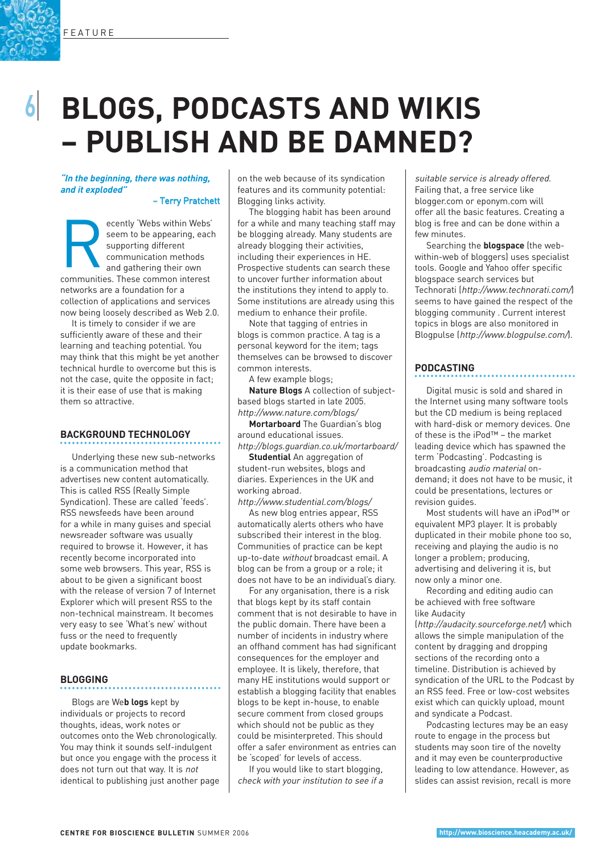## **6**I **BLOGS, PODCASTS AND WIKIS – PUBLISH AND BE DAMNED?**

**"In the beginning, there was nothing, and it exploded"** 

– Terry Pratchett

ecently 'Webs within Webs<br>
seem to be appearing, eac<br>
supporting different<br>
communication methods<br>
and gathering their own<br>
communities. These common interest ecently 'Webs within Webs' seem to be appearing, each supporting different communication methods and gathering their own networks are a foundation for a collection of applications and services now being loosely described as Web 2.0.

It is timely to consider if we are sufficiently aware of these and their learning and teaching potential. You may think that this might be yet another technical hurdle to overcome but this is not the case, quite the opposite in fact; it is their ease of use that is making them so attractive.

### **BACKGROUND TECHNOLOGY**

Underlying these new sub-networks is a communication method that advertises new content automatically. This is called RSS (Really Simple Syndication). These are called 'feeds'. RSS newsfeeds have been around for a while in many guises and special newsreader software was usually required to browse it. However, it has recently become incorporated into some web browsers. This year, RSS is about to be given a significant boost with the release of version 7 of Internet Explorer which will present RSS to the non-technical mainstream. It becomes very easy to see 'What's new' without fuss or the need to frequently update bookmarks.

### **BLOGGING**

Blogs are We**b logs** kept by individuals or projects to record thoughts, ideas, work notes or outcomes onto the Web chronologically. You may think it sounds self-indulgent but once you engage with the process it does not turn out that way. It is not identical to publishing just another page on the web because of its syndication features and its community potential: Blogging links activity.

The blogging habit has been around for a while and many teaching staff may be blogging already. Many students are already blogging their activities, including their experiences in HE. Prospective students can search these to uncover further information about the institutions they intend to apply to. Some institutions are already using this medium to enhance their profile.

Note that tagging of entries in blogs is common practice. A tag is a personal keyword for the item; tags themselves can be browsed to discover common interests.

A few example blogs;

**Nature Blogs** A collection of subjectbased blogs started in late 2005. http://www.nature.com/blogs/

**Mortarboard** The Guardian's blog around educational issues. http://blogs.guardian.co.uk/mortarboard/

**Studential** An aggregation of

student-run websites, blogs and diaries. Experiences in the UK and working abroad.

http://www.studential.com/blogs/

As new blog entries appear, RSS automatically alerts others who have subscribed their interest in the blog. Communities of practice can be kept up-to-date without broadcast email. A blog can be from a group or a role; it does not have to be an individual's diary.

For any organisation, there is a risk that blogs kept by its staff contain comment that is not desirable to have in the public domain. There have been a number of incidents in industry where an offhand comment has had significant consequences for the employer and employee. It is likely, therefore, that many HE institutions would support or establish a blogging facility that enables blogs to be kept in-house, to enable secure comment from closed groups which should not be public as they could be misinterpreted. This should offer a safer environment as entries can be 'scoped' for levels of access.

If you would like to start blogging, check with your institution to see if a

suitable service is already offered. Failing that, a free service like blogger.com or eponym.com will offer all the basic features. Creating a blog is free and can be done within a few minutes.

Searching the **blogspace** (the webwithin-web of bloggers) uses specialist tools. Google and Yahoo offer specific blogspace search services but Technorati (http://www.technorati.com/) seems to have gained the respect of the blogging community . Current interest topics in blogs are also monitored in Blogpulse (http://www.blogpulse.com/).

### **PODCASTING**

Digital music is sold and shared in the Internet using many software tools but the CD medium is being replaced with hard-disk or memory devices. One of these is the iPod™ – the market leading device which has spawned the term 'Podcasting'. Podcasting is broadcasting audio material ondemand; it does not have to be music, it could be presentations, lectures or revision guides.

Most students will have an iPod™ or equivalent MP3 player. It is probably duplicated in their mobile phone too so, receiving and playing the audio is no longer a problem; producing, advertising and delivering it is, but now only a minor one.

Recording and editing audio can be achieved with free software like Audacity

(http://audacity.sourceforge.net/) which allows the simple manipulation of the content by dragging and dropping sections of the recording onto a timeline. Distribution is achieved by syndication of the URL to the Podcast by an RSS feed. Free or low-cost websites exist which can quickly upload, mount and syndicate a Podcast.

Podcasting lectures may be an easy route to engage in the process but students may soon tire of the novelty and it may even be counterproductive leading to low attendance. However, as slides can assist revision, recall is more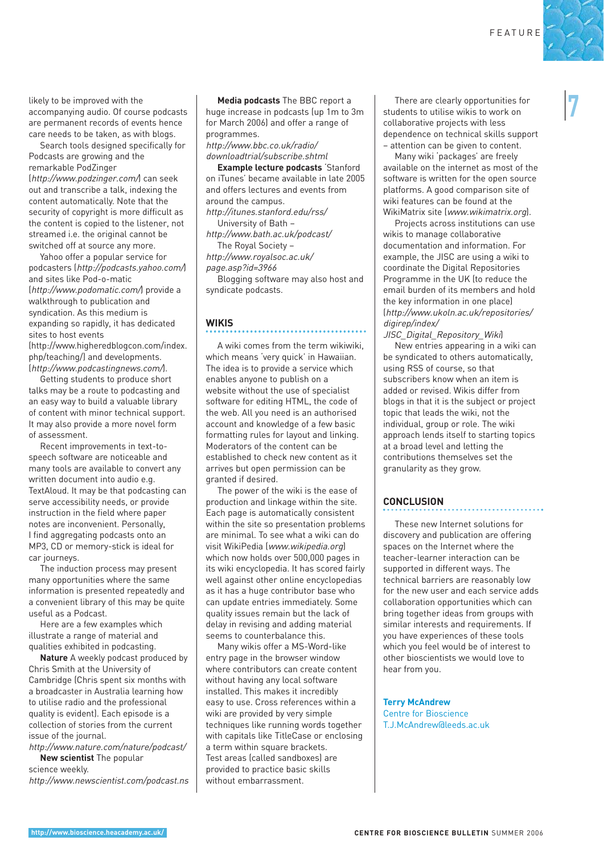There are clearly opportunities for

students to utilise wikis to work on collaborative projects with less dependence on technical skills support – attention can be given to content.

Many wiki 'packages' are freely available on the internet as most of the software is written for the open source platforms. A good comparison site of wiki features can be found at the WikiMatrix site (www.wikimatrix.org).

Projects across institutions can use wikis to manage collaborative documentation and information. For example, the JISC are using a wiki to coordinate the Digital Repositories Programme in the UK (to reduce the email burden of its members and hold the key information in one place) (http://www.ukoln.ac.uk/repositories/ digirep/index/ JISC\_Digital\_Repository\_Wiki)

New entries appearing in a wiki can be syndicated to others automatically, using RSS of course, so that subscribers know when an item is added or revised. Wikis differ from blogs in that it is the subject or project topic that leads the wiki, not the individual, group or role. The wiki approach lends itself to starting topics at a broad level and letting the contributions themselves set the granularity as they grow.

### **CONCLUSION**

These new Internet solutions for discovery and publication are offering spaces on the Internet where the teacher-learner interaction can be supported in different ways. The technical barriers are reasonably low for the new user and each service adds collaboration opportunities which can bring together ideas from groups with similar interests and requirements. If you have experiences of these tools which you feel would be of interest to other bioscientists we would love to hear from you.

**Terry McAndrew** Centre for Bioscience T.J.McAndrew@leeds.ac.uk

likely to be improved with the accompanying audio. Of course podcasts are permanent records of events hence care needs to be taken, as with blogs.

Search tools designed specifically for Podcasts are growing and the remarkable PodZinger (http://www.podzinger.com/) can seek out and transcribe a talk, indexing the

content automatically. Note that the security of copyright is more difficult as the content is copied to the listener, not streamed i.e. the original cannot be switched off at source any more.

Yahoo offer a popular service for podcasters (http://podcasts.yahoo.com/) and sites like Pod-o-matic (http://www.podomatic.com/) provide a walkthrough to publication and syndication. As this medium is expanding so rapidly, it has dedicated sites to host events

(http://www.higheredblogcon.com/index. php/teaching/) and developments. (http://www.podcastingnews.com/).

Getting students to produce short talks may be a route to podcasting and an easy way to build a valuable library of content with minor technical support. It may also provide a more novel form of assessment.

Recent improvements in text-tospeech software are noticeable and many tools are available to convert any written document into audio e.g. TextAloud. It may be that podcasting can serve accessibility needs, or provide instruction in the field where paper notes are inconvenient. Personally, I find aggregating podcasts onto an MP3, CD or memory-stick is ideal for car journeys.

The induction process may present many opportunities where the same information is presented repeatedly and a convenient library of this may be quite useful as a Podcast.

Here are a few examples which illustrate a range of material and qualities exhibited in podcasting.

**Nature** A weekly podcast produced by Chris Smith at the University of Cambridge (Chris spent six months with a broadcaster in Australia learning how to utilise radio and the professional quality is evident). Each episode is a collection of stories from the current issue of the journal.

http://www.nature.com/nature/podcast/ **New scientist** The popular science weekly.

http://www.newscientist.com/podcast.ns

**Media podcasts** The BBC report a huge increase in podcasts (up 1m to 3m for March 2006) and offer a range of programmes.

http://www.bbc.co.uk/radio/ downloadtrial/subscribe.shtml

**Example lecture podcasts** 'Stanford on iTunes' became available in late 2005 and offers lectures and events from around the campus.

http://itunes.stanford.edu/rss/ University of Bath –

http://www.bath.ac.uk/podcast/ .<br>The Royal Society –

http://www.royalsoc.ac.uk/

page.asp?id=3966

Blogging software may also host and syndicate podcasts.

### **WIKIS**

A wiki comes from the term wikiwiki, which means 'very quick' in Hawaiian. The idea is to provide a service which enables anyone to publish on a website without the use of specialist software for editing HTML, the code of the web. All you need is an authorised account and knowledge of a few basic formatting rules for layout and linking. Moderators of the content can be established to check new content as it arrives but open permission can be granted if desired.

The power of the wiki is the ease of production and linkage within the site. Each page is automatically consistent within the site so presentation problems are minimal. To see what a wiki can do visit WikiPedia (www.wikipedia.org) which now holds over 500,000 pages in its wiki encyclopedia. It has scored fairly well against other online encyclopedias as it has a huge contributor base who can update entries immediately. Some quality issues remain but the lack of delay in revising and adding material seems to counterbalance this.

Many wikis offer a MS-Word-like entry page in the browser window where contributors can create content without having any local software installed. This makes it incredibly easy to use. Cross references within a wiki are provided by very simple techniques like running words together with capitals like TitleCase or enclosing a term within square brackets. Test areas (called sandboxes) are provided to practice basic skills without embarrassment.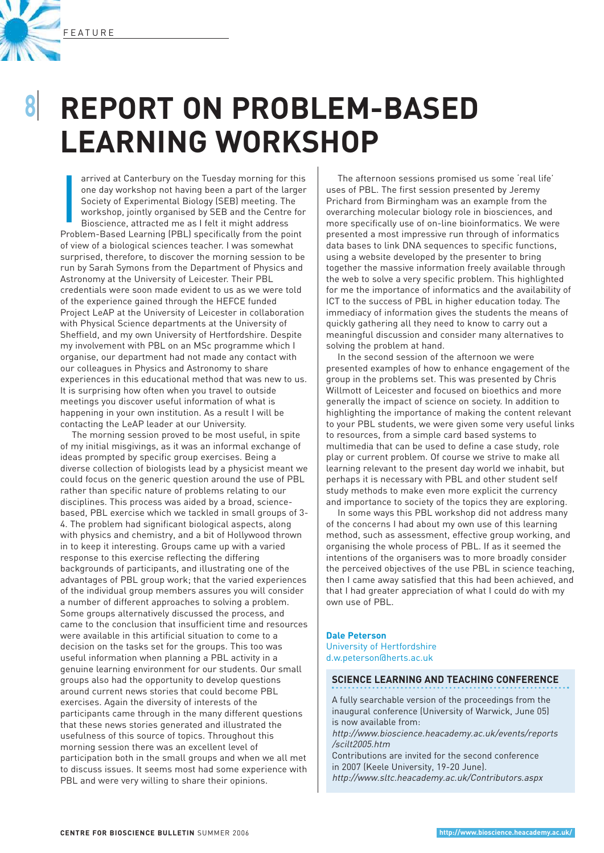

## **REPORT ON PROBLEM-BASED LEARNING WORKSHOP**

arrived at Canterbury on the Tuesday morning for thi<br>
one day workshop not having been a part of the large<br>
Society of Experimental Biology (SEB) meeting. The<br>
workshop, jointly organised by SEB and the Centre fo<br>
Bioscien arrived at Canterbury on the Tuesday morning for this one day workshop not having been a part of the larger Society of Experimental Biology (SEB) meeting. The workshop, jointly organised by SEB and the Centre for Bioscience, attracted me as I felt it might address of view of a biological sciences teacher. I was somewhat surprised, therefore, to discover the morning session to be run by Sarah Symons from the Department of Physics and Astronomy at the University of Leicester. Their PBL credentials were soon made evident to us as we were told of the experience gained through the HEFCE funded Project LeAP at the University of Leicester in collaboration with Physical Science departments at the University of Sheffield, and my own University of Hertfordshire. Despite my involvement with PBL on an MSc programme which I organise, our department had not made any contact with our colleagues in Physics and Astronomy to share experiences in this educational method that was new to us. It is surprising how often when you travel to outside meetings you discover useful information of what is happening in your own institution. As a result I will be contacting the LeAP leader at our University.

The morning session proved to be most useful, in spite of my initial misgivings, as it was an informal exchange of ideas prompted by specific group exercises. Being a diverse collection of biologists lead by a physicist meant we could focus on the generic question around the use of PBL rather than specific nature of problems relating to our disciplines. This process was aided by a broad, sciencebased, PBL exercise which we tackled in small groups of 3- 4. The problem had significant biological aspects, along with physics and chemistry, and a bit of Hollywood thrown in to keep it interesting. Groups came up with a varied response to this exercise reflecting the differing backgrounds of participants, and illustrating one of the advantages of PBL group work; that the varied experiences of the individual group members assures you will consider a number of different approaches to solving a problem. Some groups alternatively discussed the process, and came to the conclusion that insufficient time and resources were available in this artificial situation to come to a decision on the tasks set for the groups. This too was useful information when planning a PBL activity in a genuine learning environment for our students. Our small groups also had the opportunity to develop questions around current news stories that could become PBL exercises. Again the diversity of interests of the participants came through in the many different questions that these news stories generated and illustrated the usefulness of this source of topics. Throughout this morning session there was an excellent level of participation both in the small groups and when we all met to discuss issues. It seems most had some experience with PBL and were very willing to share their opinions.

The afternoon sessions promised us some 'real life' uses of PBL. The first session presented by Jeremy Prichard from Birmingham was an example from the overarching molecular biology role in biosciences, and more specifically use of on-line bioinformatics. We were presented a most impressive run through of informatics data bases to link DNA sequences to specific functions, using a website developed by the presenter to bring together the massive information freely available through the web to solve a very specific problem. This highlighted for me the importance of informatics and the availability of ICT to the success of PBL in higher education today. The immediacy of information gives the students the means of quickly gathering all they need to know to carry out a meaningful discussion and consider many alternatives to solving the problem at hand.

In the second session of the afternoon we were presented examples of how to enhance engagement of the group in the problems set. This was presented by Chris Willmott of Leicester and focused on bioethics and more generally the impact of science on society. In addition to highlighting the importance of making the content relevant to your PBL students, we were given some very useful links to resources, from a simple card based systems to multimedia that can be used to define a case study, role play or current problem. Of course we strive to make all learning relevant to the present day world we inhabit, but perhaps it is necessary with PBL and other student self study methods to make even more explicit the currency and importance to society of the topics they are exploring.

In some ways this PBL workshop did not address many of the concerns I had about my own use of this learning method, such as assessment, effective group working, and organising the whole process of PBL. If as it seemed the intentions of the organisers was to more broadly consider the perceived objectives of the use PBL in science teaching, then I came away satisfied that this had been achieved, and that I had greater appreciation of what I could do with my own use of PBL.

### **Dale Peterson** University of Hertfordshire

d.w.peterson@herts.ac.uk

### **SCIENCE LEARNING AND TEACHING CONFERENCE**

A fully searchable version of the proceedings from the inaugural conference (University of Warwick, June 05) is now available from:

http://www.bioscience.heacademy.ac.uk/events/reports /scilt2005.htm

Contributions are invited for the second conference in 2007 (Keele University, 19-20 June). http://www.sltc.heacademy.ac.uk/Contributors.aspx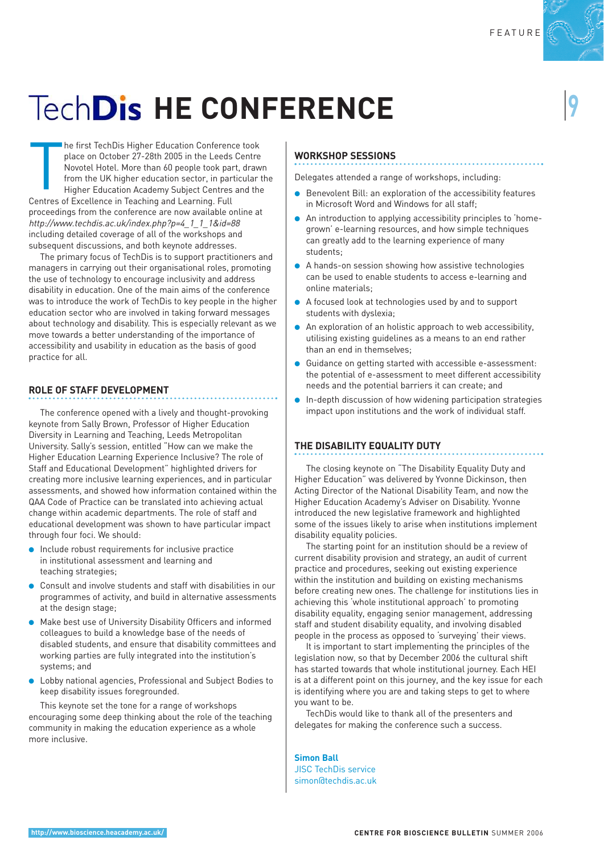# **TechDis HE CONFERENCE**

The first TechDis Higher Education Conferent place on October 27-28th 2005 in the Leeds<br>Novotel Hotel. More than 60 people took pa<br>from the UK higher education sector, in par<br>Higher Education Academy Subject Centres<br>Centre he first TechDis Higher Education Conference took place on October 27-28th 2005 in the Leeds Centre Novotel Hotel. More than 60 people took part, drawn from the UK higher education sector, in particular the Higher Education Academy Subject Centres and the proceedings from the conference are now available online at http://www.techdis.ac.uk/index.php?p=4\_1\_1\_1&id=88 including detailed coverage of all of the workshops and subsequent discussions, and both keynote addresses.

The primary focus of TechDis is to support practitioners and managers in carrying out their organisational roles, promoting the use of technology to encourage inclusivity and address disability in education. One of the main aims of the conference was to introduce the work of TechDis to key people in the higher education sector who are involved in taking forward messages about technology and disability. This is especially relevant as we move towards a better understanding of the importance of accessibility and usability in education as the basis of good practice for all.

### **ROLE OF STAFF DEVELOPMENT**

The conference opened with a lively and thought-provoking keynote from Sally Brown, Professor of Higher Education Diversity in Learning and Teaching, Leeds Metropolitan University. Sally's session, entitled "How can we make the Higher Education Learning Experience Inclusive? The role of Staff and Educational Development" highlighted drivers for creating more inclusive learning experiences, and in particular assessments, and showed how information contained within the QAA Code of Practice can be translated into achieving actual change within academic departments. The role of staff and educational development was shown to have particular impact through four foci. We should:

- Include robust requirements for inclusive practice in institutional assessment and learning and teaching strategies;
- Consult and involve students and staff with disabilities in our programmes of activity, and build in alternative assessments at the design stage;
- Make best use of University Disability Officers and informed colleagues to build a knowledge base of the needs of disabled students, and ensure that disability committees and working parties are fully integrated into the institution's systems; and
- Lobby national agencies, Professional and Subject Bodies to keep disability issues foregrounded.

This keynote set the tone for a range of workshops encouraging some deep thinking about the role of the teaching community in making the education experience as a whole more inclusive.

### **WORKSHOP SESSIONS**

Delegates attended a range of workshops, including:

- Benevolent Bill: an exploration of the accessibility features in Microsoft Word and Windows for all staff;
- An introduction to applying accessibility principles to 'homegrown' e-learning resources, and how simple techniques can greatly add to the learning experience of many students;
- A hands-on session showing how assistive technologies can be used to enable students to access e-learning and online materials;
- A focused look at technologies used by and to support students with dyslexia;
- An exploration of an holistic approach to web accessibility, utilising existing guidelines as a means to an end rather than an end in themselves;
- Guidance on getting started with accessible e-assessment: the potential of e-assessment to meet different accessibility needs and the potential barriers it can create; and
- In-depth discussion of how widening participation strategies impact upon institutions and the work of individual staff.

### **THE DISABILITY EQUALITY DUTY**

The closing keynote on "The Disability Equality Duty and Higher Education" was delivered by Yvonne Dickinson, then Acting Director of the National Disability Team, and now the Higher Education Academy's Adviser on Disability. Yvonne introduced the new legislative framework and highlighted some of the issues likely to arise when institutions implement disability equality policies.

The starting point for an institution should be a review of current disability provision and strategy, an audit of current practice and procedures, seeking out existing experience within the institution and building on existing mechanisms before creating new ones. The challenge for institutions lies in achieving this 'whole institutional approach' to promoting disability equality, engaging senior management, addressing staff and student disability equality, and involving disabled people in the process as opposed to 'surveying' their views.

It is important to start implementing the principles of the legislation now, so that by December 2006 the cultural shift has started towards that whole institutional journey. Each HEI is at a different point on this journey, and the key issue for each is identifying where you are and taking steps to get to where you want to be.

TechDis would like to thank all of the presenters and delegates for making the conference such a success.

**Simon Ball** JISC TechDis service simon@techdis.ac.uk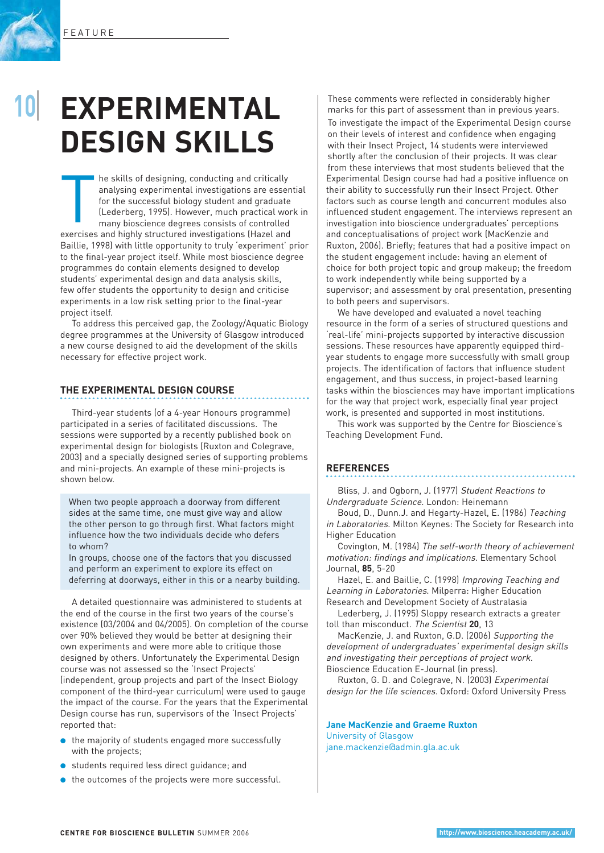

## **EXPERIMENTAL DESIGN SKILLS**

The skills of designing, conducting and critically<br>analysing experimental investigations are esser<br>for the successful biology student and graduate<br>(Lederberg, 1995). However, much practical wo<br>many bioscience degrees consi he skills of designing, conducting and critically analysing experimental investigations are essential for the successful biology student and graduate (Lederberg, 1995). However, much practical work in many bioscience degrees consists of controlled Baillie, 1998) with little opportunity to truly 'experiment' prior to the final-year project itself. While most bioscience degree programmes do contain elements designed to develop students' experimental design and data analysis skills, few offer students the opportunity to design and criticise experiments in a low risk setting prior to the final-year project itself.

To address this perceived gap, the Zoology/Aquatic Biology degree programmes at the University of Glasgow introduced a new course designed to aid the development of the skills necessary for effective project work.

### **THE EXPERIMENTAL DESIGN COURSE**

Third-year students (of a 4-year Honours programme) participated in a series of facilitated discussions. The sessions were supported by a recently published book on experimental design for biologists (Ruxton and Colegrave, 2003) and a specially designed series of supporting problems and mini-projects. An example of these mini-projects is shown below.

When two people approach a doorway from different sides at the same time, one must give way and allow the other person to go through first. What factors might influence how the two individuals decide who defers to whom?

In groups, choose one of the factors that you discussed and perform an experiment to explore its effect on deferring at doorways, either in this or a nearby building.

A detailed questionnaire was administered to students at the end of the course in the first two years of the course's existence (03/2004 and 04/2005). On completion of the course over 90% believed they would be better at designing their own experiments and were more able to critique those designed by others. Unfortunately the Experimental Design course was not assessed so the 'Insect Projects' (independent, group projects and part of the Insect Biology component of the third-year curriculum) were used to gauge the impact of the course. For the years that the Experimental Design course has run, supervisors of the 'Insect Projects' reported that:

- the majority of students engaged more successfully with the projects;
- students required less direct guidance; and
- the outcomes of the projects were more successful.

These comments were reflected in considerably higher marks for this part of assessment than in previous years. To investigate the impact of the Experimental Design course on their levels of interest and confidence when engaging with their Insect Project, 14 students were interviewed shortly after the conclusion of their projects. It was clear from these interviews that most students believed that the Experimental Design course had had a positive influence on their ability to successfully run their Insect Project. Other factors such as course length and concurrent modules also influenced student engagement. The interviews represent an investigation into bioscience undergraduates' perceptions and conceptualisations of project work (MacKenzie and Ruxton, 2006). Briefly; features that had a positive impact on the student engagement include: having an element of choice for both project topic and group makeup; the freedom to work independently while being supported by a supervisor; and assessment by oral presentation, presenting to both peers and supervisors.

We have developed and evaluated a novel teaching resource in the form of a series of structured questions and 'real-life' mini-projects supported by interactive discussion sessions. These resources have apparently equipped thirdyear students to engage more successfully with small group projects. The identification of factors that influence student engagement, and thus success, in project-based learning tasks within the biosciences may have important implications for the way that project work, especially final year project work, is presented and supported in most institutions.

This work was supported by the Centre for Bioscience's Teaching Development Fund.

### **REFERENCES**

Bliss, J. and Ogborn, J. (1977) Student Reactions to Undergraduate Science. London: Heinemann

Boud, D., Dunn.J. and Hegarty-Hazel, E. (1986) Teaching in Laboratories. Milton Keynes: The Society for Research into Higher Education

Covington, M. (1984) The self-worth theory of achievement motivation: findings and implications. Elementary School Journal, **85**, 5-20

Hazel, E. and Baillie, C. (1998) Improving Teaching and Learning in Laboratories. Milperra: Higher Education Research and Development Society of Australasia

Lederberg, J. (1995) Sloppy research extracts a greater toll than misconduct. The Scientist **20**, 13

MacKenzie, J. and Ruxton, G.D. (2006) Supporting the development of undergraduates' experimental design skills and investigating their perceptions of project work. Bioscience Education E-Journal (in press).

Ruxton, G. D. and Colegrave, N. (2003) Experimental design for the life sciences. Oxford: Oxford University Press

### **Jane MacKenzie and Graeme Ruxton**

University of Glasgow jane.mackenzie@admin.gla.ac.uk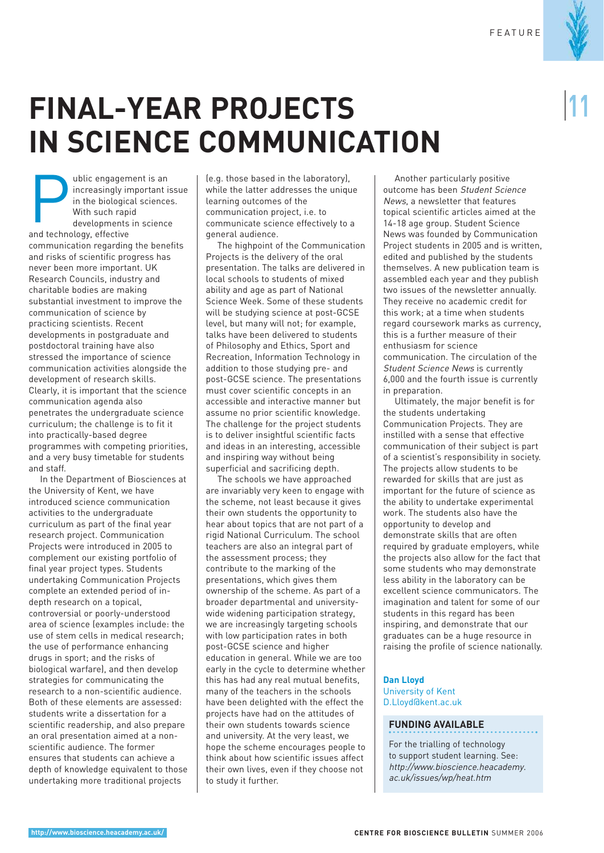## **FINAL-YEAR PROJECTS IN SCIENCE COMMUNICATION**

**Exploring the Universe of Separator**<br>
In the biologic<br>
With such rap<br>
developments<br>
and technology, effective ublic engagement is an increasingly important issue in the biological sciences. With such rapid developments in science communication regarding the benefits and risks of scientific progress has never been more important. UK Research Councils, industry and charitable bodies are making substantial investment to improve the communication of science by practicing scientists. Recent developments in postgraduate and postdoctoral training have also stressed the importance of science communication activities alongside the development of research skills. Clearly, it is important that the science communication agenda also penetrates the undergraduate science curriculum; the challenge is to fit it into practically-based degree programmes with competing priorities, and a very busy timetable for students and staff.

In the Department of Biosciences at the University of Kent, we have introduced science communication activities to the undergraduate curriculum as part of the final year research project. Communication Projects were introduced in 2005 to complement our existing portfolio of final year project types. Students undertaking Communication Projects complete an extended period of indepth research on a topical, controversial or poorly-understood area of science (examples include: the use of stem cells in medical research; the use of performance enhancing drugs in sport; and the risks of biological warfare), and then develop strategies for communicating the research to a non-scientific audience. Both of these elements are assessed: students write a dissertation for a scientific readership, and also prepare an oral presentation aimed at a nonscientific audience. The former ensures that students can achieve a depth of knowledge equivalent to those undertaking more traditional projects

(e.g. those based in the laboratory), while the latter addresses the unique learning outcomes of the communication project, i.e. to communicate science effectively to a general audience.

The highpoint of the Communication Projects is the delivery of the oral presentation. The talks are delivered in local schools to students of mixed ability and age as part of National Science Week. Some of these students will be studying science at post-GCSE level, but many will not; for example, talks have been delivered to students of Philosophy and Ethics, Sport and Recreation, Information Technology in addition to those studying pre- and post-GCSE science. The presentations must cover scientific concepts in an accessible and interactive manner but assume no prior scientific knowledge. The challenge for the project students is to deliver insightful scientific facts and ideas in an interesting, accessible and inspiring way without being superficial and sacrificing depth.

The schools we have approached are invariably very keen to engage with the scheme, not least because it gives their own students the opportunity to hear about topics that are not part of a rigid National Curriculum. The school teachers are also an integral part of the assessment process; they contribute to the marking of the presentations, which gives them ownership of the scheme. As part of a broader departmental and universitywide widening participation strategy, we are increasingly targeting schools with low participation rates in both post-GCSE science and higher education in general. While we are too early in the cycle to determine whether this has had any real mutual benefits, many of the teachers in the schools have been delighted with the effect the projects have had on the attitudes of their own students towards science and university. At the very least, we hope the scheme encourages people to think about how scientific issues affect their own lives, even if they choose not to study it further.

Another particularly positive outcome has been Student Science News, a newsletter that features topical scientific articles aimed at the 14-18 age group. Student Science News was founded by Communication Project students in 2005 and is written, edited and published by the students themselves. A new publication team is assembled each year and they publish two issues of the newsletter annually. They receive no academic credit for this work; at a time when students regard coursework marks as currency, this is a further measure of their enthusiasm for science communication. The circulation of the Student Science News is currently 6,000 and the fourth issue is currently in preparation.

Ultimately, the major benefit is for the students undertaking Communication Projects. They are instilled with a sense that effective communication of their subject is part of a scientist's responsibility in society. The projects allow students to be rewarded for skills that are just as important for the future of science as the ability to undertake experimental work. The students also have the opportunity to develop and demonstrate skills that are often required by graduate employers, while the projects also allow for the fact that some students who may demonstrate less ability in the laboratory can be excellent science communicators. The imagination and talent for some of our students in this regard has been inspiring, and demonstrate that our graduates can be a huge resource in raising the profile of science nationally.

#### **Dan Lloyd** University of Kent D.Lloyd@kent.ac.uk

### **FUNDING AVAILABLE**

For the trialling of technology to support student learning. See: http://www.bioscience.heacademy. ac.uk/issues/wp/heat.htm